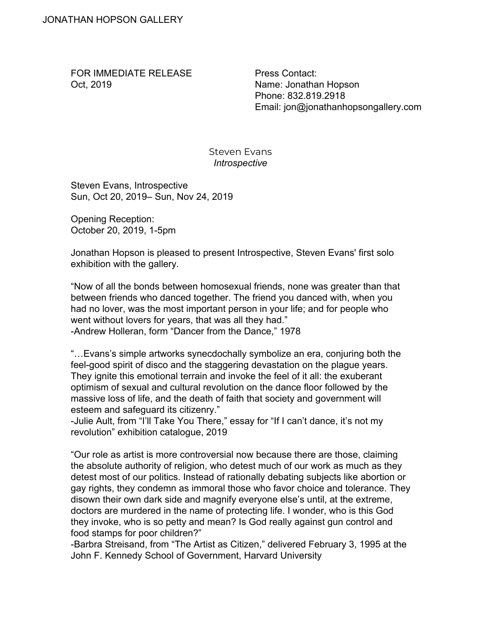FOR IMMEDIATE RELEASE Oct, 2019

Press Contact: Name: Jonathan Hopson Phone: 832.819.2918 Email: jon@jonathanhopsongallery.com

Steven Evans *Introspective*

Steven Evans, Introspective Sun, Oct 20, 2019– Sun, Nov 24, 2019

Opening Reception: October 20, 2019, 1-5pm

Jonathan Hopson is pleased to present Introspective, Steven Evans' first solo exhibition with the gallery.

"Now of all the bonds between homosexual friends, none was greater than that between friends who danced together. The friend you danced with, when you had no lover, was the most important person in your life; and for people who went without lovers for years, that was all they had." -Andrew Holleran, form "Dancer from the Dance," 1978

"…Evans's simple artworks synecdochally symbolize an era, conjuring both the feel-good spirit of disco and the staggering devastation on the plague years. They ignite this emotional terrain and invoke the feel of it all: the exuberant optimism of sexual and cultural revolution on the dance floor followed by the massive loss of life, and the death of faith that society and government will esteem and safeguard its citizenry."

-Julie Ault, from "I'll Take You There," essay for "If I can't dance, it's not my revolution" exhibition catalogue, 2019

"Our role as artist is more controversial now because there are those, claiming the absolute authority of religion, who detest much of our work as much as they detest most of our politics. Instead of rationally debating subjects like abortion or gay rights, they condemn as immoral those who favor choice and tolerance. They disown their own dark side and magnify everyone else's until, at the extreme, doctors are murdered in the name of protecting life. I wonder, who is this God they invoke, who is so petty and mean? Is God really against gun control and food stamps for poor children?"

-Barbra Streisand, from "The Artist as Citizen," delivered February 3, 1995 at the John F. Kennedy School of Government, Harvard University